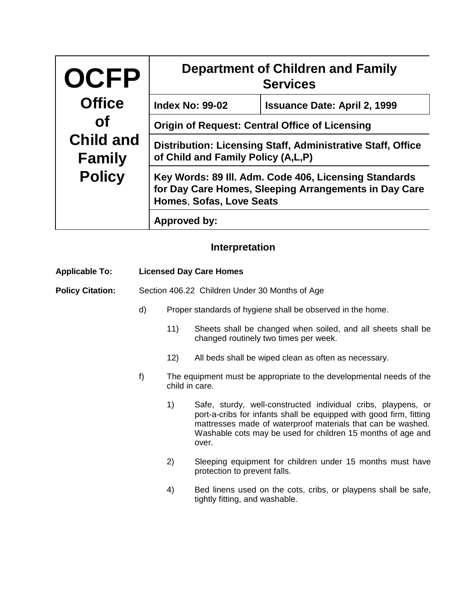| <b>OCFP</b>                       | <b>Department of Children and Family</b><br><b>Services</b>                                                                                |                                     |  |  |
|-----------------------------------|--------------------------------------------------------------------------------------------------------------------------------------------|-------------------------------------|--|--|
| <b>Office</b>                     | <b>Index No: 99-02</b>                                                                                                                     | <b>Issuance Date: April 2, 1999</b> |  |  |
| <b>of</b>                         | <b>Origin of Request: Central Office of Licensing</b>                                                                                      |                                     |  |  |
| <b>Child and</b><br><b>Family</b> | <b>Distribution: Licensing Staff, Administrative Staff, Office</b><br>of Child and Family Policy (A,L,P)                                   |                                     |  |  |
| <b>Policy</b>                     | Key Words: 89 III. Adm. Code 406, Licensing Standards<br>for Day Care Homes, Sleeping Arrangements in Day Care<br>Homes, Sofas, Love Seats |                                     |  |  |
|                                   | Approved by:                                                                                                                               |                                     |  |  |

## **Interpretation**

| <b>Applicable To:</b>   |    | <b>Licensed Day Care Homes</b>                                                        |                                                                                                                                                                                                                                                                            |
|-------------------------|----|---------------------------------------------------------------------------------------|----------------------------------------------------------------------------------------------------------------------------------------------------------------------------------------------------------------------------------------------------------------------------|
| <b>Policy Citation:</b> |    | Section 406.22 Children Under 30 Months of Age                                        |                                                                                                                                                                                                                                                                            |
|                         | d) |                                                                                       | Proper standards of hygiene shall be observed in the home.                                                                                                                                                                                                                 |
|                         |    | 11)                                                                                   | Sheets shall be changed when soiled, and all sheets shall be<br>changed routinely two times per week.                                                                                                                                                                      |
|                         |    | 12)                                                                                   | All beds shall be wiped clean as often as necessary.                                                                                                                                                                                                                       |
|                         | f) | The equipment must be appropriate to the developmental needs of the<br>child in care. |                                                                                                                                                                                                                                                                            |
|                         |    | 1)                                                                                    | Safe, sturdy, well-constructed individual cribs, playpens, or<br>port-a-cribs for infants shall be equipped with good firm, fitting<br>mattresses made of waterproof materials that can be washed.<br>Washable cots may be used for children 15 months of age and<br>over. |
|                         |    | 2)                                                                                    | Sleeping equipment for children under 15 months must have<br>protection to prevent falls.                                                                                                                                                                                  |
|                         |    | 4)                                                                                    | Bed linens used on the cots, cribs, or playpens shall be safe,<br>tightly fitting, and washable.                                                                                                                                                                           |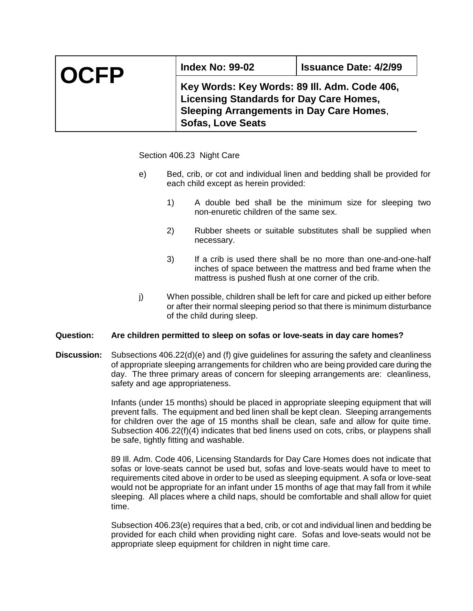| <b>OCFP</b> | <b>Index No: 99-02</b>                          | <b>Issuance Date: 4/2/99</b> |  |  |  |
|-------------|-------------------------------------------------|------------------------------|--|--|--|
|             | Key Words: Key Words: 89 III. Adm. Code 406,    |                              |  |  |  |
|             | <b>Licensing Standards for Day Care Homes,</b>  |                              |  |  |  |
|             | <b>Sleeping Arrangements in Day Care Homes,</b> |                              |  |  |  |
|             | <b>Sofas, Love Seats</b>                        |                              |  |  |  |

Section 406.23 Night Care

- e) Bed, crib, or cot and individual linen and bedding shall be provided for each child except as herein provided:
	- 1) A double bed shall be the minimum size for sleeping two non-enuretic children of the same sex.
	- 2) Rubber sheets or suitable substitutes shall be supplied when necessary.
	- 3) If a crib is used there shall be no more than one-and-one-half inches of space between the mattress and bed frame when the mattress is pushed flush at one corner of the crib.
- j) When possible, children shall be left for care and picked up either before or after their normal sleeping period so that there is minimum disturbance of the child during sleep.

## **Question: Are children permitted to sleep on sofas or love-seats in day care homes?**

**Discussion:** Subsections 406.22(d)(e) and (f) give guidelines for assuring the safety and cleanliness of appropriate sleeping arrangements for children who are being provided care during the day. The three primary areas of concern for sleeping arrangements are: cleanliness, safety and age appropriateness.

> Infants (under 15 months) should be placed in appropriate sleeping equipment that will prevent falls. The equipment and bed linen shall be kept clean. Sleeping arrangements for children over the age of 15 months shall be clean, safe and allow for quite time. Subsection 406.22(f)(4) indicates that bed linens used on cots, cribs, or playpens shall be safe, tightly fitting and washable.

> 89 Ill. Adm. Code 406, Licensing Standards for Day Care Homes does not indicate that sofas or love-seats cannot be used but, sofas and love-seats would have to meet to requirements cited above in order to be used as sleeping equipment. A sofa or love-seat would not be appropriate for an infant under 15 months of age that may fall from it while sleeping. All places where a child naps, should be comfortable and shall allow for quiet time.

> Subsection 406.23(e) requires that a bed, crib, or cot and individual linen and bedding be provided for each child when providing night care. Sofas and love-seats would not be appropriate sleep equipment for children in night time care.